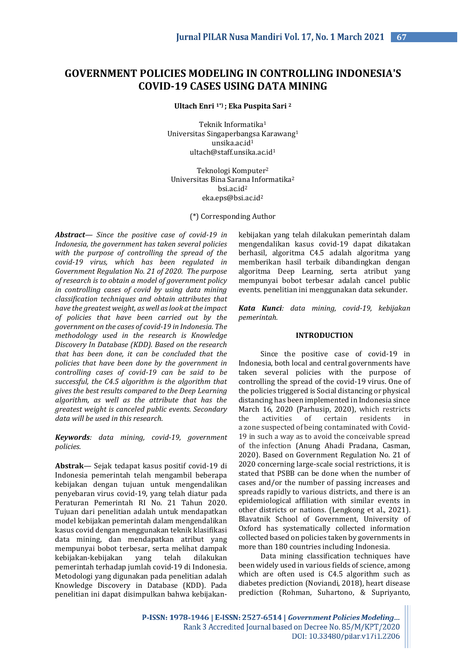# **GOVERNMENT POLICIES MODELING IN CONTROLLING INDONESIA'S COVID-19 CASES USING DATA MINING**

**Ultach Enri 1\*) ; Eka Puspita Sari <sup>2</sup>**

Teknik Informatika<sup>1</sup> Universitas Singaperbangsa Karawang<sup>1</sup> unsika.ac.id<sup>1</sup> ultach@staff.unsika.ac.id<sup>1</sup>

Teknologi Komputer<sup>2</sup> Universitas Bina Sarana Informatika<sup>2</sup> bsi.ac.id<sup>2</sup> eka.eps@bsi.ac.id<sup>2</sup>

(\*) Corresponding Author

*Abstract— Since the positive case of covid-19 in Indonesia, the government has taken several policies with the purpose of controlling the spread of the covid-19 virus, which has been regulated in Government Regulation No. 21 of 2020. The purpose of research is to obtain a model of government policy in controlling cases of covid by using data mining classification techniques and obtain attributes that have the greatest weight, as well as look at the impact of policies that have been carried out by the government on the cases of covid-19 in Indonesia. The methodology used in the research is Knowledge Discovery In Database (KDD). Based on the research that has been done, it can be concluded that the policies that have been done by the government in controlling cases of covid-19 can be said to be successful, the C4.5 algorithm is the algorithm that gives the best results compared to the Deep Learning algorithm, as well as the attribute that has the greatest weight is canceled public events. Secondary data will be used in this research.*

*Keywords: data mining, covid-19, government policies.*

**Abstrak***—* Sejak tedapat kasus positif covid-19 di Indonesia pemerintah telah mengambil beberapa kebijakan dengan tujuan untuk mengendalikan penyebaran virus covid-19, yang telah diatur pada Peraturan Pemerintah RI No. 21 Tahun 2020. Tujuan dari penelitian adalah untuk mendapatkan model kebijakan pemerintah dalam mengendalikan kasus covid dengan menggunakan teknik klasifikasi data mining, dan mendapatkan atribut yang mempunyai bobot terbesar, serta melihat dampak kebijakan-kebijakan yang telah dilakukan pemerintah terhadap jumlah covid-19 di Indonesia. Metodologi yang digunakan pada penelitian adalah Knowledge Discovery in Database (KDD). Pada penelitian ini dapat disimpulkan bahwa kebijakankebijakan yang telah dilakukan pemerintah dalam mengendalikan kasus covid-19 dapat dikatakan berhasil, algoritma C4.5 adalah algoritma yang memberikan hasil terbaik dibandingkan dengan algoritma Deep Learning, serta atribut yang mempunyai bobot terbesar adalah cancel public events. penelitian ini menggunakan data sekunder.

*Kata Kunci: data mining, covid-19, kebijakan pemerintah.*

## **INTRODUCTION**

Since the positive case of covid-19 in Indonesia, both local and central governments have taken several policies with the purpose of controlling the spread of the covid-19 virus. One of the policies triggered is Social distancing or physical distancing has been implemented in Indonesia since March 16, 2020 (Parhusip, 2020), which restricts the activities of certain residents in a zone suspected of being contaminated with Covid-19 in such a way as to avoid the conceivable spread of the infection (Anung Ahadi Pradana, Casman, 2020). Based on Government Regulation No. 21 of 2020 concerning large-scale social restrictions, it is stated that PSBB can be done when the number of cases and/or the number of passing increases and spreads rapidly to various districts, and there is an epidemiological affiliation with similar events in other districts or nations. (Lengkong et al., 2021). Blavatnik School of Government, University of Oxford has systematically collected information collected based on policies taken by governments in more than 180 countries including Indonesia.

Data mining classification techniques have been widely used in various fields of science, among which are often used is C4.5 algorithm such as diabetes prediction (Noviandi, 2018), heart disease prediction (Rohman, Suhartono, & Supriyanto,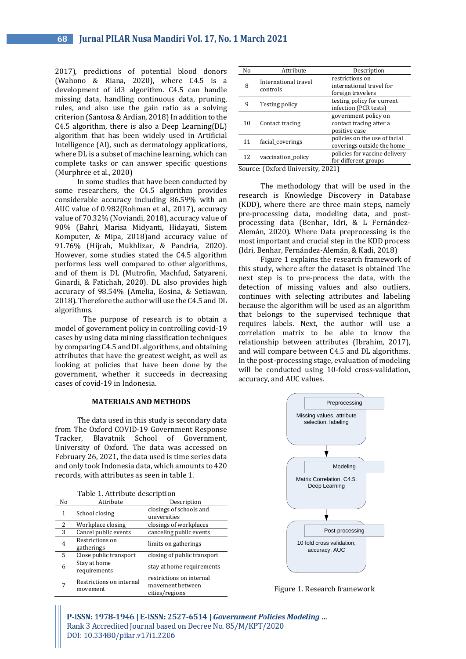2017), predictions of potential blood donors (Wahono & Riana, 2020), where C4.5 is a development of id3 algorithm. C4.5 can handle missing data, handling continuous data, pruning, rules, and also use the gain ratio as a solving criterion (Santosa & Ardian, 2018) In addition to the C4.5 algorithm, there is also a Deep Learning(DL) algorithm that has been widely used in Artificial Intelligence (AI), such as dermatology applications, where DL is a subset of machine learning, which can complete tasks or can answer specific questions (Murphree et al., 2020)

In some studies that have been conducted by some researchers, the C4.5 algorithm provides considerable accuracy including 86.59% with an AUC value of 0.982(Rohman et al., 2017), accuracy value of 70.32% (Noviandi, 2018), accuracy value of 90% (Bahri, Marisa Midyanti, Hidayati, Sistem Komputer, & Mipa, 2018)and accuracy value of 91.76% (Hijrah, Mukhlizar, & Pandria, 2020). However, some studies stated the C4.5 algorithm performs less well compared to other algorithms, and of them is DL (Mutrofin, Machfud, Satyareni, Ginardi, & Fatichah, 2020). DL also provides high accuracy of 98.54% (Amelia, Eosina, & Setiawan, 2018). Therefore the author will use the C4.5 and DL algorithms.

The purpose of research is to obtain a model of government policy in controlling covid-19 cases by using data mining classification techniques by comparing C4.5 and DL algorithms, and obtaining attributes that have the greatest weight, as well as looking at policies that have been done by the government, whether it succeeds in decreasing cases of covid-19 in Indonesia.

### **MATERIALS AND METHODS**

The data used in this study is secondary data from The Oxford COVID-19 Government Response Tracker, Blavatnik School of Government, University of Oxford. The data was accessed on February 26, 2021, the data used is time series data and only took Indonesia data, which amounts to 420 records, with attributes as seen in table 1.

| Table 1. Attribute description |                                      |                                                                |  |  |  |
|--------------------------------|--------------------------------------|----------------------------------------------------------------|--|--|--|
| No                             | Attribute                            | Description                                                    |  |  |  |
| 1                              | School closing                       | closings of schools and<br>universities                        |  |  |  |
| 2                              | Workplace closing                    | closings of workplaces                                         |  |  |  |
| 3                              | Cancel public events                 | canceling public events                                        |  |  |  |
| 4                              | Restrictions on<br>gatherings        | limits on gatherings                                           |  |  |  |
| 5                              | Close public transport               | closing of public transport                                    |  |  |  |
| 6                              | Stay at home<br>requirements         | stay at home requirements                                      |  |  |  |
|                                | Restrictions on internal<br>movement | restrictions on internal<br>movement between<br>cities/regions |  |  |  |

| No | Attribute                                                                                                                                                                                                                                                                                                                 | Description                                                      |
|----|---------------------------------------------------------------------------------------------------------------------------------------------------------------------------------------------------------------------------------------------------------------------------------------------------------------------------|------------------------------------------------------------------|
| 8  | International travel<br>controls                                                                                                                                                                                                                                                                                          | restrictions on<br>international travel for<br>foreign travelers |
| 9  | Testing policy                                                                                                                                                                                                                                                                                                            | testing policy for current<br>infection (PCR tests)              |
| 10 | Contact tracing                                                                                                                                                                                                                                                                                                           | government policy on<br>contact tracing after a<br>positive case |
| 11 | facial coverings                                                                                                                                                                                                                                                                                                          | policies on the use of facial<br>coverings outside the home      |
| 12 | vaccination_policy                                                                                                                                                                                                                                                                                                        | policies for vaccine delivery<br>for different groups            |
| c  | $\sqrt{2}$ $\sqrt{2}$ $\sqrt{2}$ $\sqrt{2}$ $\sqrt{2}$ $\sqrt{2}$ $\sqrt{2}$ $\sqrt{2}$ $\sqrt{2}$ $\sqrt{2}$ $\sqrt{2}$ $\sqrt{2}$ $\sqrt{2}$ $\sqrt{2}$ $\sqrt{2}$ $\sqrt{2}$ $\sqrt{2}$ $\sqrt{2}$ $\sqrt{2}$ $\sqrt{2}$ $\sqrt{2}$ $\sqrt{2}$ $\sqrt{2}$ $\sqrt{2}$ $\sqrt{2}$ $\sqrt{2}$ $\sqrt{2}$ $\sqrt{2$<br>. . | <b>00011</b>                                                     |

Source: (Oxford University, 2021)

The methodology that will be used in the research is Knowledge Discovery in Database (KDD), where there are three main steps, namely pre-processing data, modeling data, and postprocessing data (Benhar, Idri, & L Fernández-Alemán, 2020). Where Data preprocessing is the most important and crucial step in the KDD process (Idri, Benhar, Fernández-Alemán, & Kadi, 2018)

Figure 1 explains the research framework of this study, where after the dataset is obtained The next step is to pre-process the data, with the detection of missing values and also outliers, continues with selecting attributes and labeling because the algorithm will be used as an algorithm that belongs to the supervised technique that requires labels. Next, the author will use a correlation matrix to be able to know the relationship between attributes (Ibrahim, 2017), and will compare between C4.5 and DL algorithms. In the post-processing stage, evaluation of modeling will be conducted using 10-fold cross-validation, accuracy, and AUC values.



Figure 1. Research framework

P-ISSN: 1978-1946 | E-ISSN: 2527-6514 | Government Policies Modeling ... Rank 3 Accredited Journal based on Decree No. 85/M/KPT/2020 DOI: 10.33480/pilar.v17i1.2206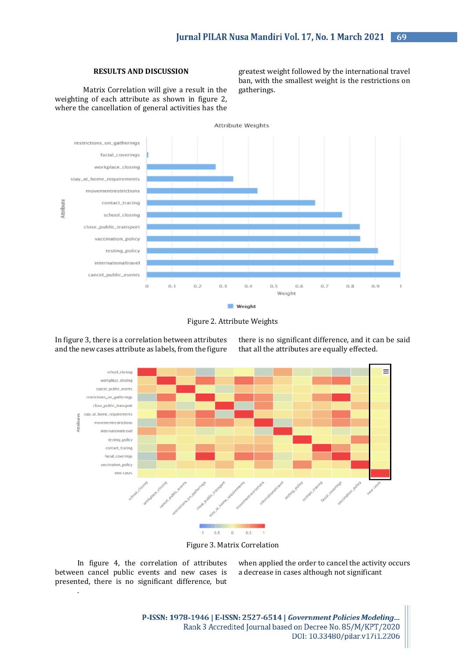# **RESULTS AND DISCUSSION**

Matrix Correlation will give a result in the weighting of each attribute as shown in figure 2, where the cancellation of general activities has the greatest weight followed by the international travel ban, with the smallest weight is the restrictions on gatherings.





In figure 3, there is a correlation between attributes and the new cases attribute as labels, from the figure

there is no significant difference, and it can be said that all the attributes are equally effected.



Figure 3. Matrix Correlation

In figure 4, the correlation of attributes between cancel public events and new cases is presented, there is no significant difference, but

.

when applied the order to cancel the activity occurs a decrease in cases although not significant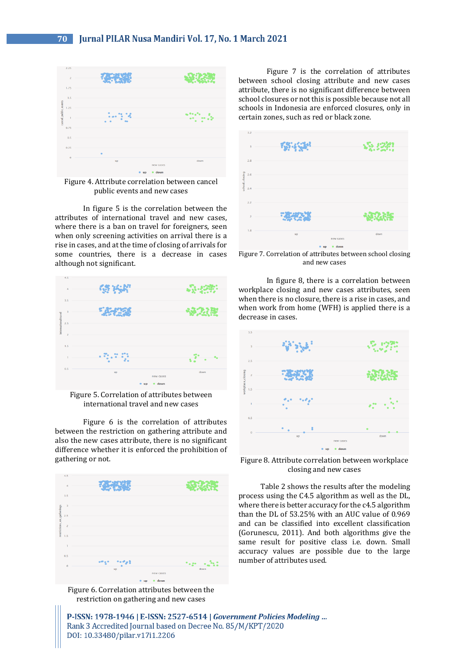

Figure 4. Attribute correlation between cancel public events and new cases

In figure 5 is the correlation between the attributes of international travel and new cases, where there is a ban on travel for foreigners, seen when only screening activities on arrival there is a rise in cases, and at the time of closing of arrivals for some countries, there is a decrease in cases although not significant.



Figure 5. Correlation of attributes between international travel and new cases

Figure 6 is the correlation of attributes between the restriction on gathering attribute and also the new cases attribute, there is no significant difference whether it is enforced the prohibition of gathering or not.



Figure 6. Correlation attributes between the restriction on gathering and new cases

Figure 7 is the correlation of attributes between school closing attribute and new cases attribute, there is no significant difference between school closures or not this is possible because not all schools in Indonesia are enforced closures, only in certain zones, such as red or black zone.



Figure 7. Correlation of attributes between school closing and new cases

In figure 8, there is a correlation between workplace closing and new cases attributes, seen when there is no closure, there is a rise in cases, and when work from home (WFH) is applied there is a decrease in cases.



Figure 8. Attribute correlation between workplace closing and new cases

Table 2 shows the results after the modeling process using the C4.5 algorithm as well as the DL, where there is better accuracy for the c4.5 algorithm than the DL of 53.25% with an AUC value of 0.969 and can be classified into excellent classification (Gorunescu, 2011). And both algorithms give the same result for positive class i.e. down. Small accuracy values are possible due to the large number of attributes used.

P-ISSN: 1978-1946 | E-ISSN: 2527-6514 | Government Policies Modeling ... Rank 3 Accredited Journal based on Decree No. 85/M/KPT/2020 DOI: 10.33480/pilar.v17i1.2206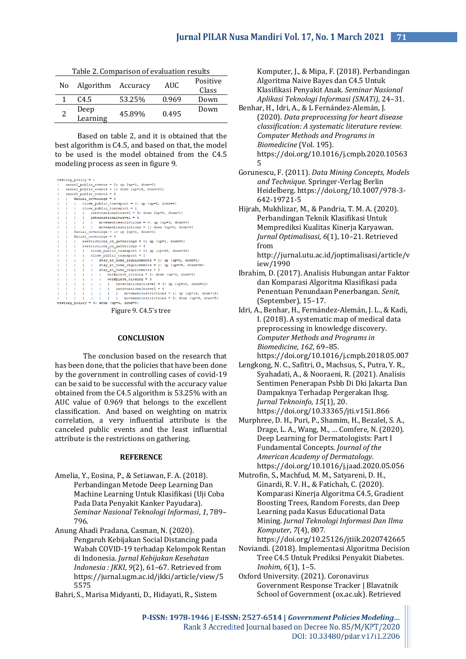| Nο | Algorithm Accuracy |        | AUC   | Positive<br>Class |
|----|--------------------|--------|-------|-------------------|
|    | C <sub>4.5</sub>   | 53.25% | 0.969 | Down              |
|    | Deep<br>Learning   | 45.89% | 0.495 | Down              |

Table 2. Comparison of evaluation results

Based on table 2, and it is obtained that the best algorithm is C4.5, and based on that, the model to be used is the model obtained from the C4.5 modeling process as seen in figure 9.

| testing policy = $1$                                 |  |  |  |  |
|------------------------------------------------------|--|--|--|--|
| cancel public events = $0:$ up {up=1, down=0}        |  |  |  |  |
| cancel public events = 1: down {up=18, down=20}      |  |  |  |  |
| cancel public events = $2$                           |  |  |  |  |
| $ $ facial coverings = 0                             |  |  |  |  |
| close public transport = 0: up {up=8, down=6}        |  |  |  |  |
| close public transport = 1                           |  |  |  |  |
| internationaltravel = 3: down (up=0, down=1)         |  |  |  |  |
| $\vert$   internationaltravel = 4                    |  |  |  |  |
| movementrestrictions = 0: up (up=3, down=3)          |  |  |  |  |
| movementrestrictions = 1: down {up=3, down=4}        |  |  |  |  |
| facial coverings = 1: up {up=1, down=0}              |  |  |  |  |
| facial coverings = $4$                               |  |  |  |  |
| restrictions on gatherings = $0$ : up {up=1, down=0} |  |  |  |  |
| restrictions on gatherings = $4$                     |  |  |  |  |
| close public transport = $0:$ up (up=68, down=49)    |  |  |  |  |
| close public transport = 1                           |  |  |  |  |
| stay_at_home_requirements = 0: up (up=2, down=1)     |  |  |  |  |
| stay at home requirements = 1: up (up=39, down=34)   |  |  |  |  |
| stay at home requirements = 2                        |  |  |  |  |
| workplace closing = 2: down {up=3, down=5}           |  |  |  |  |
| workplace closing $=$ 3                              |  |  |  |  |
| internationaltravel = 3: up (up=16, down=12)         |  |  |  |  |
| internationaltravel = 4                              |  |  |  |  |
| movementrestrictions = 1: up (up=16, down=15)        |  |  |  |  |
| movementrestrictions = 2: down {up=4, down=5}        |  |  |  |  |
| testing policy = 3: down {up=6, down=9}              |  |  |  |  |

Figure 9. C4.5's tree

### **CONCLUSION**

The conclusion based on the research that has been done, that the policies that have been done by the government in controlling cases of covid-19 can be said to be successful with the accuracy value obtained from the C4.5 algorithm is 53.25% with an AUC value of 0.969 that belongs to the excellent classification. And based on weighting on matrix correlation, a very influential attribute is the canceled public events and the least influential attribute is the restrictions on gathering.

## **REFERENCE**

- Amelia, Y., Eosina, P., & Setiawan, F. A. (2018). Perbandingan Metode Deep Learning Dan Machine Learning Untuk Klasifikasi (Uji Coba Pada Data Penyakit Kanker Payudara). *Seminar Nasional Teknologi Informasi*, *1*, 789– 796.
- Anung Ahadi Pradana, Casman, N. (2020). Pengaruh Kebijakan Social Distancing pada Wabah COVID-19 terhadap Kelompok Rentan di Indonesia. *Jurnal Kebijakan Kesehatan Indonesia : JKKI*, *9*(2), 61–67. Retrieved from https://jurnal.ugm.ac.id/jkki/article/view/5 5575

Bahri, S., Marisa Midyanti, D., Hidayati, R., Sistem

Komputer, J., & Mipa, F. (2018). Perbandingan Algoritma Naive Bayes dan C4.5 Untuk Klasifikasi Penyakit Anak. *Seminar Nasional Aplikasi Teknologi Informasi (SNATi)*, 24–31.

- Benhar, H., Idri, A., & L Fernández-Alemán, J. (2020). *Data preprocessing for heart disease classification: A systematic literature review. Computer Methods and Programs in Biomedicine* (Vol. 195). https://doi.org/10.1016/j.cmpb.2020.10563 5
- Gorunescu, F. (2011). *Data Mining Concepts, Models and Technique*. Springer-Verlag Berlin Heidelberg. https://doi.org/10.1007/978-3- 642-19721-5
- Hijrah, Mukhlizar, M., & Pandria, T. M. A. (2020). Perbandingan Teknik Klasifikasi Untuk Memprediksi Kualitas Kinerja Karyawan. *Jurnal Optimalisasi*, *6*(1), 10–21. Retrieved from

http://jurnal.utu.ac.id/joptimalisasi/article/v iew/1990

- Ibrahim, D. (2017). Analisis Hubungan antar Faktor dan Komparasi Algoritma Klasifikasi pada Penentuan Penundaan Penerbangan. *Senit*, (September), 15–17.
- Idri, A., Benhar, H., Fernández-Alemán, J. L., & Kadi, I. (2018). A systematic map of medical data preprocessing in knowledge discovery. *Computer Methods and Programs in Biomedicine*, *162*, 69–85. https://doi.org/10.1016/j.cmpb.2018.05.007
- Lengkong, N. C., Safitri, O., Machsus, S., Putra, Y. R., Syahadati, A., & Nooraeni, R. (2021). Analisis Sentimen Penerapan Psbb Di Dki Jakarta Dan Dampaknya Terhadap Pergerakan Ihsg. *Jurnal Teknoinfo*, *15*(1), 20. https://doi.org/10.33365/jti.v15i1.866
- Murphree, D. H., Puri, P., Shamim, H., Bezalel, S. A., Drage, L. A., Wang, M., … Comfere, N. (2020). Deep Learning for Dermatologists: Part I Fundamental Concepts. *Journal of the American Academy of Dermatology*. https://doi.org/10.1016/j.jaad.2020.05.056
- Mutrofin, S., Machfud, M. M., Satyareni, D. H., Ginardi, R. V. H., & Fatichah, C. (2020). Komparasi Kinerja Algoritma C4.5, Gradient Boosting Trees, Random Forests, dan Deep Learning pada Kasus Educational Data Mining. *Jurnal Teknologi Informasi Dan Ilmu Komputer*, *7*(4), 807.

https://doi.org/10.25126/jtiik.2020742665

- Noviandi. (2018). Implementasi Algoritma Decision Tree C4.5 Untuk Prediksi Penyakit Diabetes. *Inohim*, *6*(1), 1–5.
- Oxford University. (2021). Coronavirus Government Response Tracker | Blavatnik School of Government (ox.ac.uk). Retrieved

P-ISSN: 1978-1946 | E-ISSN: 2527-6514 | Government Policies Modeling... Rank 3 Accredited Journal based on Decree No. 85/M/KPT/2020 DOI: 10.33480/pilar.v17i1.2206